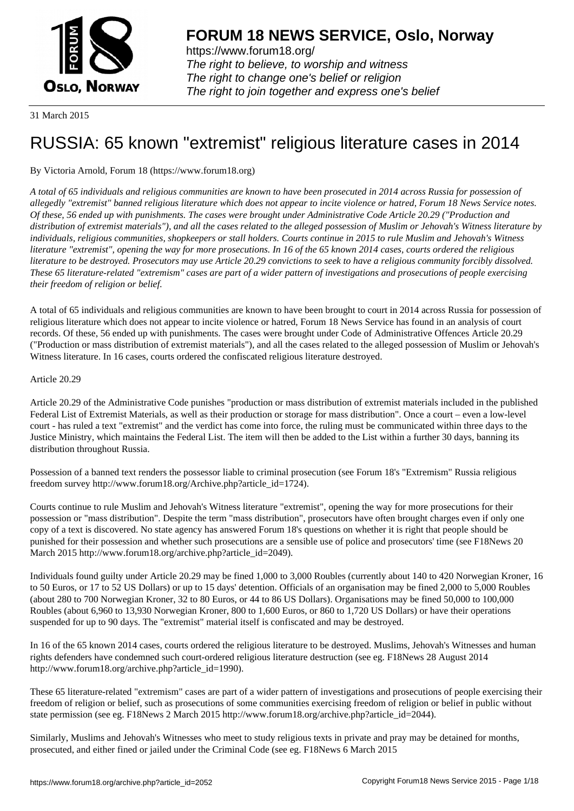

https://www.forum18.org/ The right to believe, to worship and witness The right to change one's belief or religion [The right to join together a](https://www.forum18.org/)nd express one's belief

31 March 2015

# [RUSSIA: 65 kno](https://www.forum18.org)wn "extremist" religious literature cases in 2014

# By Victoria Arnold, Forum 18 (https://www.forum18.org)

*A total of 65 individuals and religious communities are known to have been prosecuted in 2014 across Russia for possession of allegedly "extremist" banned religious literature which does not appear to incite violence or hatred, Forum 18 News Service notes. Of these, 56 ended up with punishments. The cases were brought under Administrative Code Article 20.29 ("Production and distribution of extremist materials"), and all the cases related to the alleged possession of Muslim or Jehovah's Witness literature by individuals, religious communities, shopkeepers or stall holders. Courts continue in 2015 to rule Muslim and Jehovah's Witness literature "extremist", opening the way for more prosecutions. In 16 of the 65 known 2014 cases, courts ordered the religious literature to be destroyed. Prosecutors may use Article 20.29 convictions to seek to have a religious community forcibly dissolved. These 65 literature-related "extremism" cases are part of a wider pattern of investigations and prosecutions of people exercising their freedom of religion or belief.*

A total of 65 individuals and religious communities are known to have been brought to court in 2014 across Russia for possession of religious literature which does not appear to incite violence or hatred, Forum 18 News Service has found in an analysis of court records. Of these, 56 ended up with punishments. The cases were brought under Code of Administrative Offences Article 20.29 ("Production or mass distribution of extremist materials"), and all the cases related to the alleged possession of Muslim or Jehovah's Witness literature. In 16 cases, courts ordered the confiscated religious literature destroyed.

# Article 20.29

Article 20.29 of the Administrative Code punishes "production or mass distribution of extremist materials included in the published Federal List of Extremist Materials, as well as their production or storage for mass distribution". Once a court – even a low-level court - has ruled a text "extremist" and the verdict has come into force, the ruling must be communicated within three days to the Justice Ministry, which maintains the Federal List. The item will then be added to the List within a further 30 days, banning its distribution throughout Russia.

Possession of a banned text renders the possessor liable to criminal prosecution (see Forum 18's "Extremism" Russia religious freedom survey http://www.forum18.org/Archive.php?article\_id=1724).

Courts continue to rule Muslim and Jehovah's Witness literature "extremist", opening the way for more prosecutions for their possession or "mass distribution". Despite the term "mass distribution", prosecutors have often brought charges even if only one copy of a text is discovered. No state agency has answered Forum 18's questions on whether it is right that people should be punished for their possession and whether such prosecutions are a sensible use of police and prosecutors' time (see F18News 20 March 2015 http://www.forum18.org/archive.php?article\_id=2049).

Individuals found guilty under Article 20.29 may be fined 1,000 to 3,000 Roubles (currently about 140 to 420 Norwegian Kroner, 16 to 50 Euros, or 17 to 52 US Dollars) or up to 15 days' detention. Officials of an organisation may be fined 2,000 to 5,000 Roubles (about 280 to 700 Norwegian Kroner, 32 to 80 Euros, or 44 to 86 US Dollars). Organisations may be fined 50,000 to 100,000 Roubles (about 6,960 to 13,930 Norwegian Kroner, 800 to 1,600 Euros, or 860 to 1,720 US Dollars) or have their operations suspended for up to 90 days. The "extremist" material itself is confiscated and may be destroyed.

In 16 of the 65 known 2014 cases, courts ordered the religious literature to be destroyed. Muslims, Jehovah's Witnesses and human rights defenders have condemned such court-ordered religious literature destruction (see eg. F18News 28 August 2014 http://www.forum18.org/archive.php?article\_id=1990).

These 65 literature-related "extremism" cases are part of a wider pattern of investigations and prosecutions of people exercising their freedom of religion or belief, such as prosecutions of some communities exercising freedom of religion or belief in public without state permission (see eg. F18News 2 March 2015 http://www.forum18.org/archive.php?article\_id=2044).

Similarly, Muslims and Jehovah's Witnesses who meet to study religious texts in private and pray may be detained for months, prosecuted, and either fined or jailed under the Criminal Code (see eg. F18News 6 March 2015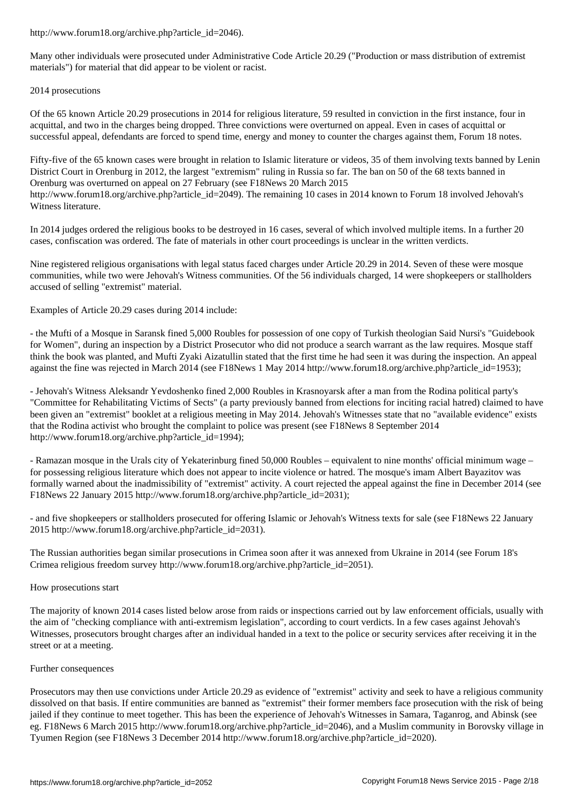Many other individuals were prosecuted under Administrative Code Article 20.29 ("Production or mass distribution of extremist materials") for material that did appear to be violent or racist.

#### 2014 prosecutions

Of the 65 known Article 20.29 prosecutions in 2014 for religious literature, 59 resulted in conviction in the first instance, four in acquittal, and two in the charges being dropped. Three convictions were overturned on appeal. Even in cases of acquittal or successful appeal, defendants are forced to spend time, energy and money to counter the charges against them, Forum 18 notes.

Fifty-five of the 65 known cases were brought in relation to Islamic literature or videos, 35 of them involving texts banned by Lenin District Court in Orenburg in 2012, the largest "extremism" ruling in Russia so far. The ban on 50 of the 68 texts banned in Orenburg was overturned on appeal on 27 February (see F18News 20 March 2015 http://www.forum18.org/archive.php?article\_id=2049). The remaining 10 cases in 2014 known to Forum 18 involved Jehovah's Witness literature.

In 2014 judges ordered the religious books to be destroyed in 16 cases, several of which involved multiple items. In a further 20 cases, confiscation was ordered. The fate of materials in other court proceedings is unclear in the written verdicts.

Nine registered religious organisations with legal status faced charges under Article 20.29 in 2014. Seven of these were mosque communities, while two were Jehovah's Witness communities. Of the 56 individuals charged, 14 were shopkeepers or stallholders accused of selling "extremist" material.

Examples of Article 20.29 cases during 2014 include:

- the Mufti of a Mosque in Saransk fined 5,000 Roubles for possession of one copy of Turkish theologian Said Nursi's "Guidebook for Women", during an inspection by a District Prosecutor who did not produce a search warrant as the law requires. Mosque staff think the book was planted, and Mufti Zyaki Aizatullin stated that the first time he had seen it was during the inspection. An appeal against the fine was rejected in March 2014 (see F18News 1 May 2014 http://www.forum18.org/archive.php?article\_id=1953);

- Jehovah's Witness Aleksandr Yevdoshenko fined 2,000 Roubles in Krasnoyarsk after a man from the Rodina political party's "Committee for Rehabilitating Victims of Sects" (a party previously banned from elections for inciting racial hatred) claimed to have been given an "extremist" booklet at a religious meeting in May 2014. Jehovah's Witnesses state that no "available evidence" exists that the Rodina activist who brought the complaint to police was present (see F18News 8 September 2014 http://www.forum18.org/archive.php?article\_id=1994);

- Ramazan mosque in the Urals city of Yekaterinburg fined 50,000 Roubles – equivalent to nine months' official minimum wage – for possessing religious literature which does not appear to incite violence or hatred. The mosque's imam Albert Bayazitov was formally warned about the inadmissibility of "extremist" activity. A court rejected the appeal against the fine in December 2014 (see F18News 22 January 2015 http://www.forum18.org/archive.php?article\_id=2031);

- and five shopkeepers or stallholders prosecuted for offering Islamic or Jehovah's Witness texts for sale (see F18News 22 January 2015 http://www.forum18.org/archive.php?article\_id=2031).

The Russian authorities began similar prosecutions in Crimea soon after it was annexed from Ukraine in 2014 (see Forum 18's Crimea religious freedom survey http://www.forum18.org/archive.php?article\_id=2051).

# How prosecutions start

The majority of known 2014 cases listed below arose from raids or inspections carried out by law enforcement officials, usually with the aim of "checking compliance with anti-extremism legislation", according to court verdicts. In a few cases against Jehovah's Witnesses, prosecutors brought charges after an individual handed in a text to the police or security services after receiving it in the street or at a meeting.

# Further consequences

Prosecutors may then use convictions under Article 20.29 as evidence of "extremist" activity and seek to have a religious community dissolved on that basis. If entire communities are banned as "extremist" their former members face prosecution with the risk of being jailed if they continue to meet together. This has been the experience of Jehovah's Witnesses in Samara, Taganrog, and Abinsk (see eg. F18News 6 March 2015 http://www.forum18.org/archive.php?article\_id=2046), and a Muslim community in Borovsky village in Tyumen Region (see F18News 3 December 2014 http://www.forum18.org/archive.php?article\_id=2020).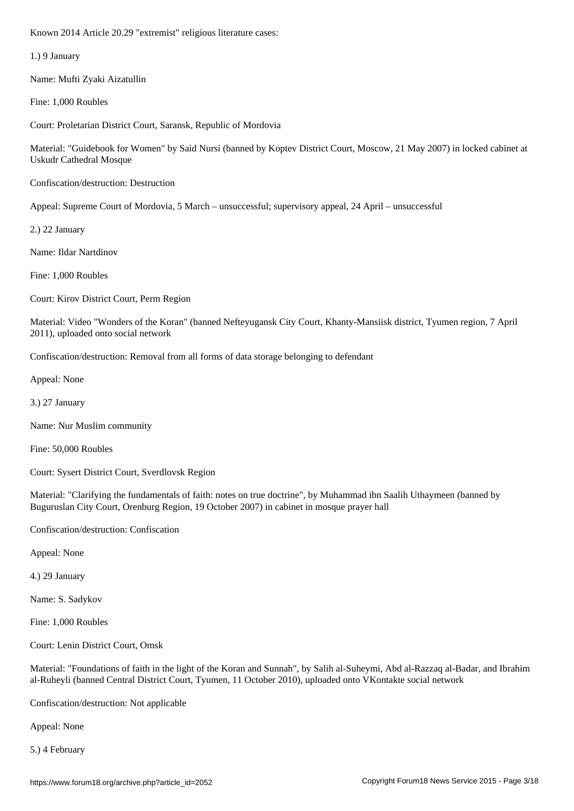1.) 9 January

Name: Mufti Zyaki Aizatullin

Fine: 1,000 Roubles

Court: Proletarian District Court, Saransk, Republic of Mordovia

Material: "Guidebook for Women" by Said Nursi (banned by Koptev District Court, Moscow, 21 May 2007) in locked cabinet at Uskudr Cathedral Mosque

Confiscation/destruction: Destruction

Appeal: Supreme Court of Mordovia, 5 March – unsuccessful; supervisory appeal, 24 April – unsuccessful

2.) 22 January

Name: Ildar Nartdinov

Fine: 1,000 Roubles

Court: Kirov District Court, Perm Region

Material: Video "Wonders of the Koran" (banned Nefteyugansk City Court, Khanty-Mansiisk district, Tyumen region, 7 April 2011), uploaded onto social network

Confiscation/destruction: Removal from all forms of data storage belonging to defendant

Appeal: None

3.) 27 January

Name: Nur Muslim community

Fine: 50,000 Roubles

Court: Sysert District Court, Sverdlovsk Region

Material: "Clarifying the fundamentals of faith: notes on true doctrine", by Muhammad ibn Saalih Uthaymeen (banned by Buguruslan City Court, Orenburg Region, 19 October 2007) in cabinet in mosque prayer hall

Confiscation/destruction: Confiscation

Appeal: None

4.) 29 January

Name: S. Sadykov

Fine: 1,000 Roubles

Court: Lenin District Court, Omsk

Material: "Foundations of faith in the light of the Koran and Sunnah", by Salih al-Suheymi, Abd al-Razzaq al-Badar, and Ibrahim al-Ruheyli (banned Central District Court, Tyumen, 11 October 2010), uploaded onto VKontakte social network

Confiscation/destruction: Not applicable

Appeal: None

5.) 4 February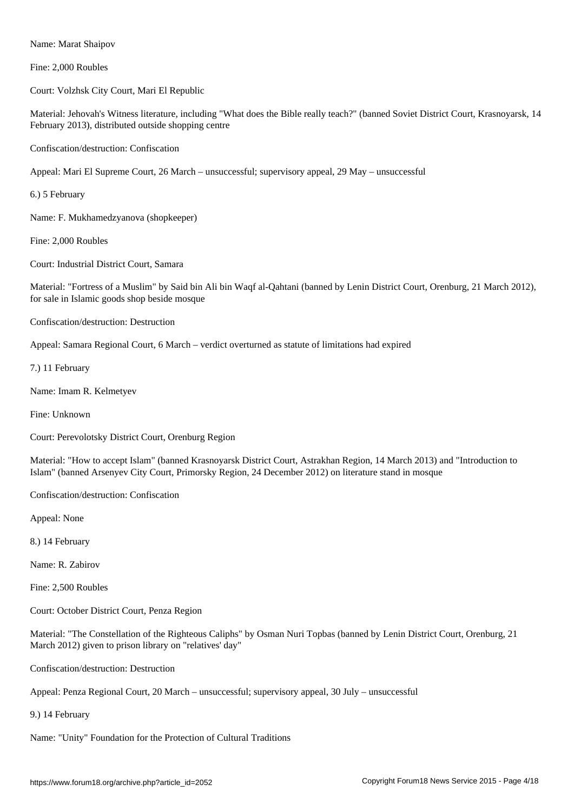Fine: 2,000 Roubles

Name: Marat Shaipov

Court: Volzhsk City Court, Mari El Republic

Material: Jehovah's Witness literature, including "What does the Bible really teach?" (banned Soviet District Court, Krasnoyarsk, 14 February 2013), distributed outside shopping centre

Confiscation/destruction: Confiscation

Appeal: Mari El Supreme Court, 26 March – unsuccessful; supervisory appeal, 29 May – unsuccessful

6.) 5 February

Name: F. Mukhamedzyanova (shopkeeper)

Fine: 2,000 Roubles

Court: Industrial District Court, Samara

Material: "Fortress of a Muslim" by Said bin Ali bin Waqf al-Qahtani (banned by Lenin District Court, Orenburg, 21 March 2012), for sale in Islamic goods shop beside mosque

Confiscation/destruction: Destruction

Appeal: Samara Regional Court, 6 March – verdict overturned as statute of limitations had expired

7.) 11 February

Name: Imam R. Kelmetyev

Fine: Unknown

Court: Perevolotsky District Court, Orenburg Region

Material: "How to accept Islam" (banned Krasnoyarsk District Court, Astrakhan Region, 14 March 2013) and "Introduction to Islam" (banned Arsenyev City Court, Primorsky Region, 24 December 2012) on literature stand in mosque

Confiscation/destruction: Confiscation

Appeal: None

8.) 14 February

Name: R. Zabirov

Fine: 2,500 Roubles

Court: October District Court, Penza Region

Material: "The Constellation of the Righteous Caliphs" by Osman Nuri Topbas (banned by Lenin District Court, Orenburg, 21 March 2012) given to prison library on "relatives' day"

Confiscation/destruction: Destruction

Appeal: Penza Regional Court, 20 March – unsuccessful; supervisory appeal, 30 July – unsuccessful

9.) 14 February

Name: "Unity" Foundation for the Protection of Cultural Traditions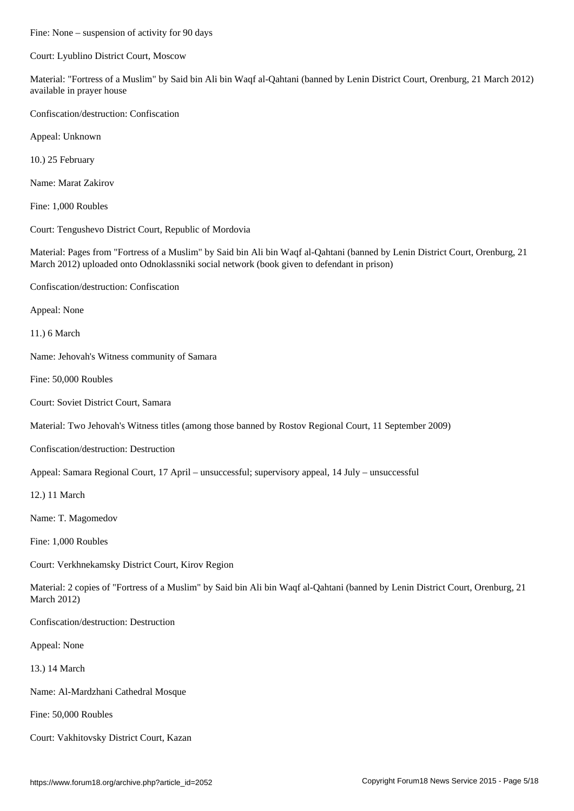Court: Lyublino District Court, Moscow

Material: "Fortress of a Muslim" by Said bin Ali bin Waqf al-Qahtani (banned by Lenin District Court, Orenburg, 21 March 2012) available in prayer house

Confiscation/destruction: Confiscation

Appeal: Unknown

10.) 25 February

Name: Marat Zakirov

Fine: 1,000 Roubles

Court: Tengushevo District Court, Republic of Mordovia

Material: Pages from "Fortress of a Muslim" by Said bin Ali bin Waqf al-Qahtani (banned by Lenin District Court, Orenburg, 21 March 2012) uploaded onto Odnoklassniki social network (book given to defendant in prison)

Confiscation/destruction: Confiscation

Appeal: None

11.) 6 March

Name: Jehovah's Witness community of Samara

Fine: 50,000 Roubles

Court: Soviet District Court, Samara

Material: Two Jehovah's Witness titles (among those banned by Rostov Regional Court, 11 September 2009)

Confiscation/destruction: Destruction

Appeal: Samara Regional Court, 17 April – unsuccessful; supervisory appeal, 14 July – unsuccessful

12.) 11 March

Name: T. Magomedov

Fine: 1,000 Roubles

Court: Verkhnekamsky District Court, Kirov Region

Material: 2 copies of "Fortress of a Muslim" by Said bin Ali bin Waqf al-Qahtani (banned by Lenin District Court, Orenburg, 21 March 2012)

Confiscation/destruction: Destruction

Appeal: None

13.) 14 March

Name: Al-Mardzhani Cathedral Mosque

Fine: 50,000 Roubles

Court: Vakhitovsky District Court, Kazan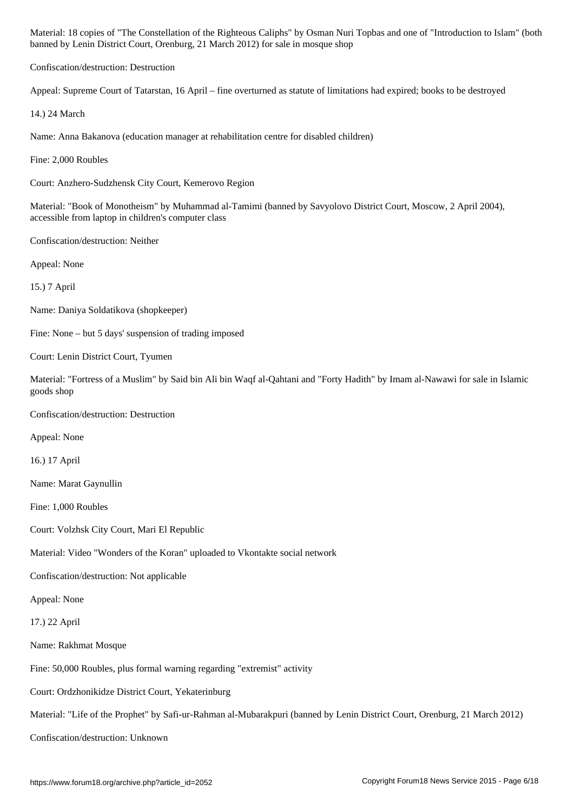banned by Lenin District Court, Orenburg, 21 March 2012) for sale in mosque shop

Confiscation/destruction: Destruction

Appeal: Supreme Court of Tatarstan, 16 April – fine overturned as statute of limitations had expired; books to be destroyed

14.) 24 March

Name: Anna Bakanova (education manager at rehabilitation centre for disabled children)

Fine: 2,000 Roubles

Court: Anzhero-Sudzhensk City Court, Kemerovo Region

Material: "Book of Monotheism" by Muhammad al-Tamimi (banned by Savyolovo District Court, Moscow, 2 April 2004), accessible from laptop in children's computer class

Confiscation/destruction: Neither

Appeal: None

15.) 7 April

Name: Daniya Soldatikova (shopkeeper)

Fine: None – but 5 days' suspension of trading imposed

Court: Lenin District Court, Tyumen

Material: "Fortress of a Muslim" by Said bin Ali bin Waqf al-Qahtani and "Forty Hadith" by Imam al-Nawawi for sale in Islamic goods shop

Confiscation/destruction: Destruction

Appeal: None

16.) 17 April

Name: Marat Gaynullin

Fine: 1,000 Roubles

Court: Volzhsk City Court, Mari El Republic

Material: Video "Wonders of the Koran" uploaded to Vkontakte social network

Confiscation/destruction: Not applicable

Appeal: None

17.) 22 April

Name: Rakhmat Mosque

Fine: 50,000 Roubles, plus formal warning regarding "extremist" activity

Court: Ordzhonikidze District Court, Yekaterinburg

Material: "Life of the Prophet" by Safi-ur-Rahman al-Mubarakpuri (banned by Lenin District Court, Orenburg, 21 March 2012)

Confiscation/destruction: Unknown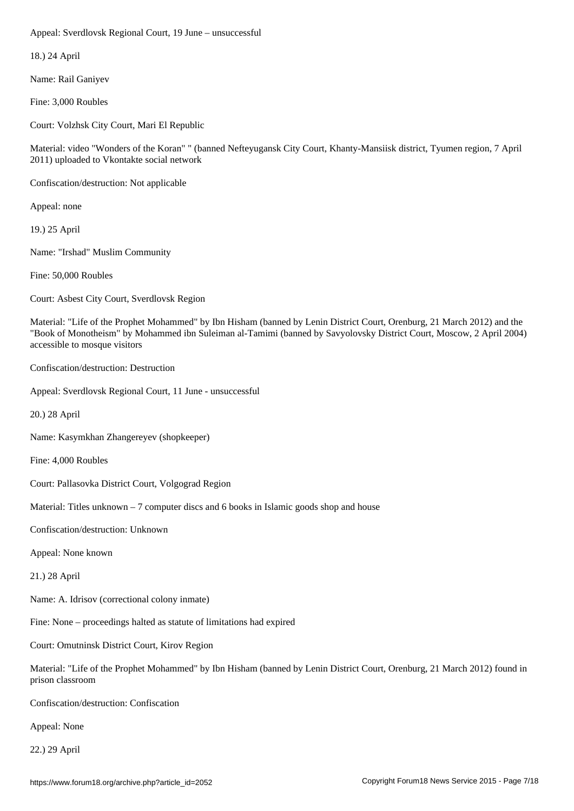18.) 24 April

Name: Rail Ganiyev

Fine: 3,000 Roubles

Court: Volzhsk City Court, Mari El Republic

Material: video "Wonders of the Koran" " (banned Nefteyugansk City Court, Khanty-Mansiisk district, Tyumen region, 7 April 2011) uploaded to Vkontakte social network

Confiscation/destruction: Not applicable

Appeal: none

19.) 25 April

Name: "Irshad" Muslim Community

Fine: 50,000 Roubles

Court: Asbest City Court, Sverdlovsk Region

Material: "Life of the Prophet Mohammed" by Ibn Hisham (banned by Lenin District Court, Orenburg, 21 March 2012) and the "Book of Monotheism" by Mohammed ibn Suleiman al-Tamimi (banned by Savyolovsky District Court, Moscow, 2 April 2004) accessible to mosque visitors

Confiscation/destruction: Destruction

Appeal: Sverdlovsk Regional Court, 11 June - unsuccessful

20.) 28 April

Name: Kasymkhan Zhangereyev (shopkeeper)

Fine: 4,000 Roubles

Court: Pallasovka District Court, Volgograd Region

Material: Titles unknown  $-7$  computer discs and 6 books in Islamic goods shop and house

Confiscation/destruction: Unknown

Appeal: None known

21.) 28 April

Name: A. Idrisov (correctional colony inmate)

Fine: None – proceedings halted as statute of limitations had expired

Court: Omutninsk District Court, Kirov Region

Material: "Life of the Prophet Mohammed" by Ibn Hisham (banned by Lenin District Court, Orenburg, 21 March 2012) found in prison classroom

Confiscation/destruction: Confiscation

Appeal: None

22.) 29 April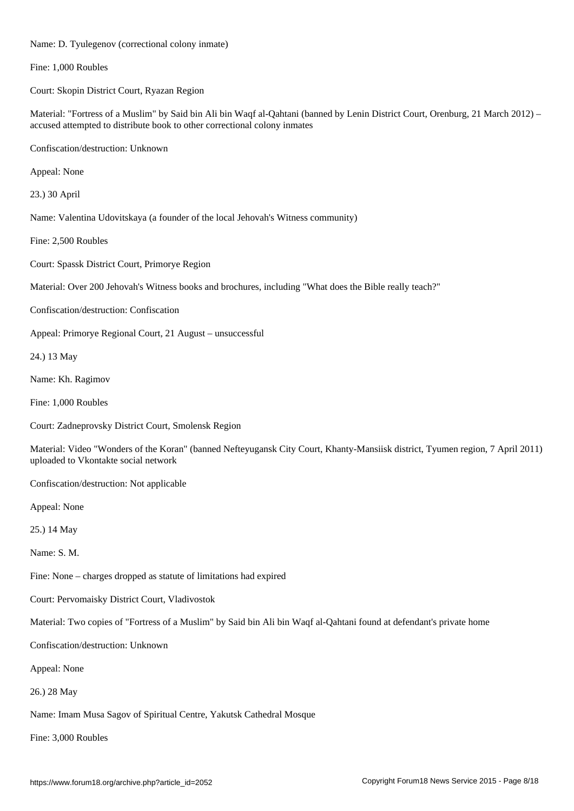Name: D. Tyulegenov (correctional colony inmate) Fine: 1,000 Roubles Court: Skopin District Court, Ryazan Region Material: "Fortress of a Muslim" by Said bin Ali bin Waqf al-Qahtani (banned by Lenin District Court, Orenburg, 21 March 2012) – accused attempted to distribute book to other correctional colony inmates Confiscation/destruction: Unknown Appeal: None 23.) 30 April Name: Valentina Udovitskaya (a founder of the local Jehovah's Witness community) Fine: 2,500 Roubles Court: Spassk District Court, Primorye Region Material: Over 200 Jehovah's Witness books and brochures, including "What does the Bible really teach?" Confiscation/destruction: Confiscation Appeal: Primorye Regional Court, 21 August – unsuccessful 24.) 13 May Name: Kh. Ragimov Fine: 1,000 Roubles Court: Zadneprovsky District Court, Smolensk Region Material: Video "Wonders of the Koran" (banned Nefteyugansk City Court, Khanty-Mansiisk district, Tyumen region, 7 April 2011) uploaded to Vkontakte social network Confiscation/destruction: Not applicable Appeal: None 25.) 14 May Name: S. M. Fine: None – charges dropped as statute of limitations had expired Court: Pervomaisky District Court, Vladivostok

Material: Two copies of "Fortress of a Muslim" by Said bin Ali bin Waqf al-Qahtani found at defendant's private home

Confiscation/destruction: Unknown

Appeal: None

26.) 28 May

Name: Imam Musa Sagov of Spiritual Centre, Yakutsk Cathedral Mosque

Fine: 3,000 Roubles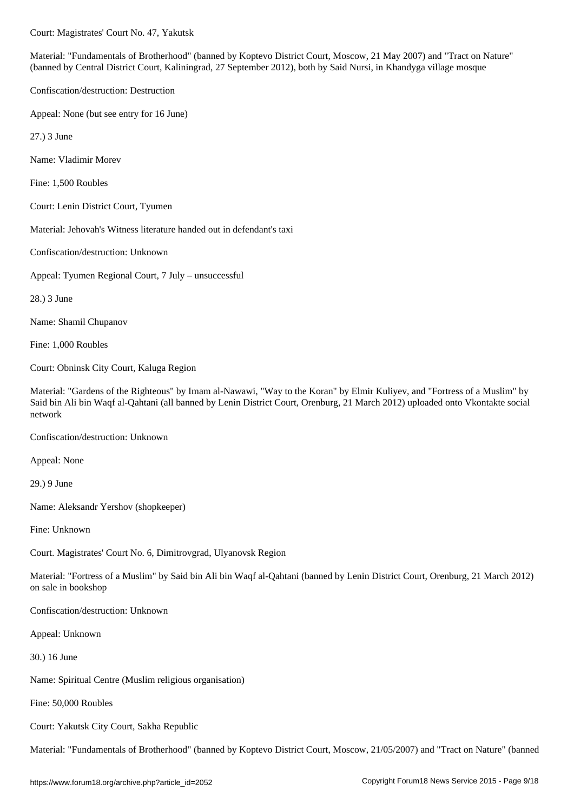Material: "Fundamentals of Brotherhood" (banned by Koptevo District Court, Moscow, 21 May 2007) and "Tract on Nature" (banned by Central District Court, Kaliningrad, 27 September 2012), both by Said Nursi, in Khandyga village mosque

Confiscation/destruction: Destruction

Appeal: None (but see entry for 16 June)

27.) 3 June

Name: Vladimir Morev

Fine: 1,500 Roubles

Court: Lenin District Court, Tyumen

Material: Jehovah's Witness literature handed out in defendant's taxi

Confiscation/destruction: Unknown

Appeal: Tyumen Regional Court, 7 July – unsuccessful

28.) 3 June

Name: Shamil Chupanov

Fine: 1,000 Roubles

Court: Obninsk City Court, Kaluga Region

Material: "Gardens of the Righteous" by Imam al-Nawawi, "Way to the Koran" by Elmir Kuliyev, and "Fortress of a Muslim" by Said bin Ali bin Waqf al-Qahtani (all banned by Lenin District Court, Orenburg, 21 March 2012) uploaded onto Vkontakte social network

Confiscation/destruction: Unknown

Appeal: None

29.) 9 June

Name: Aleksandr Yershov (shopkeeper)

Fine: Unknown

Court. Magistrates' Court No. 6, Dimitrovgrad, Ulyanovsk Region

Material: "Fortress of a Muslim" by Said bin Ali bin Waqf al-Qahtani (banned by Lenin District Court, Orenburg, 21 March 2012) on sale in bookshop

Confiscation/destruction: Unknown

Appeal: Unknown

30.) 16 June

Name: Spiritual Centre (Muslim religious organisation)

Fine: 50,000 Roubles

Court: Yakutsk City Court, Sakha Republic

Material: "Fundamentals of Brotherhood" (banned by Koptevo District Court, Moscow, 21/05/2007) and "Tract on Nature" (banned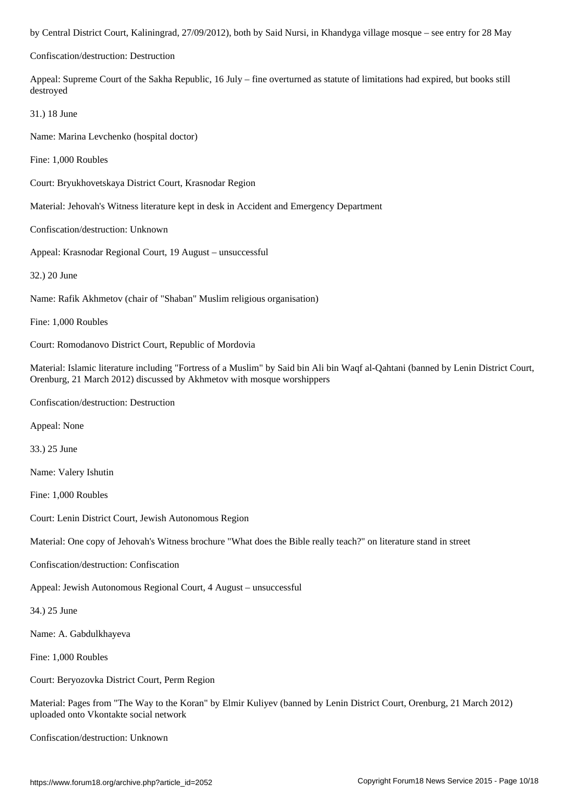Confiscation/destruction: Destruction

Appeal: Supreme Court of the Sakha Republic, 16 July – fine overturned as statute of limitations had expired, but books still destroyed

31.) 18 June

Name: Marina Levchenko (hospital doctor)

Fine: 1,000 Roubles

Court: Bryukhovetskaya District Court, Krasnodar Region

Material: Jehovah's Witness literature kept in desk in Accident and Emergency Department

Confiscation/destruction: Unknown

Appeal: Krasnodar Regional Court, 19 August – unsuccessful

32.) 20 June

Name: Rafik Akhmetov (chair of "Shaban" Muslim religious organisation)

Fine: 1,000 Roubles

Court: Romodanovo District Court, Republic of Mordovia

Material: Islamic literature including "Fortress of a Muslim" by Said bin Ali bin Waqf al-Qahtani (banned by Lenin District Court, Orenburg, 21 March 2012) discussed by Akhmetov with mosque worshippers

Confiscation/destruction: Destruction

Appeal: None

33.) 25 June

Name: Valery Ishutin

Fine: 1,000 Roubles

Court: Lenin District Court, Jewish Autonomous Region

Material: One copy of Jehovah's Witness brochure "What does the Bible really teach?" on literature stand in street

Confiscation/destruction: Confiscation

Appeal: Jewish Autonomous Regional Court, 4 August – unsuccessful

34.) 25 June

Name: A. Gabdulkhayeva

Fine: 1,000 Roubles

Court: Beryozovka District Court, Perm Region

Material: Pages from "The Way to the Koran" by Elmir Kuliyev (banned by Lenin District Court, Orenburg, 21 March 2012) uploaded onto Vkontakte social network

Confiscation/destruction: Unknown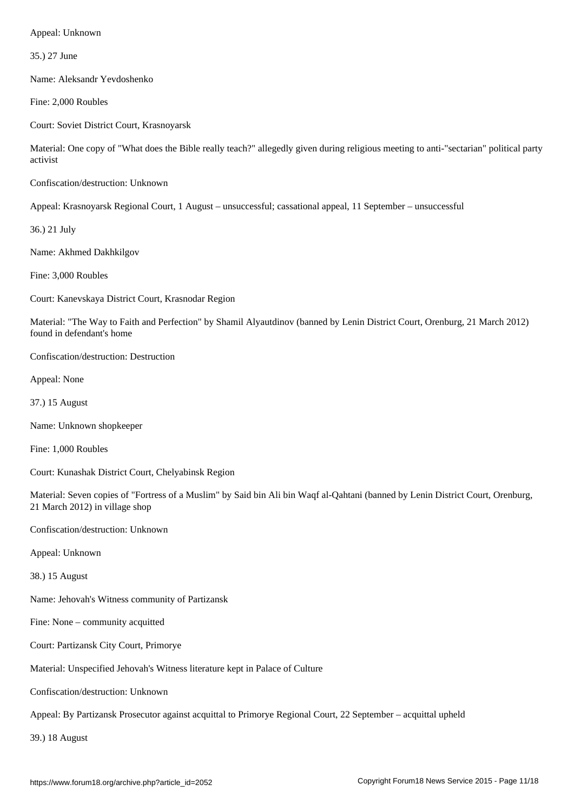35.) 27 June

Name: Aleksandr Yevdoshenko

Fine: 2,000 Roubles

Court: Soviet District Court, Krasnoyarsk

Material: One copy of "What does the Bible really teach?" allegedly given during religious meeting to anti-"sectarian" political party activist

Confiscation/destruction: Unknown

Appeal: Krasnoyarsk Regional Court, 1 August – unsuccessful; cassational appeal, 11 September – unsuccessful

36.) 21 July

Name: Akhmed Dakhkilgov

Fine: 3,000 Roubles

Court: Kanevskaya District Court, Krasnodar Region

Material: "The Way to Faith and Perfection" by Shamil Alyautdinov (banned by Lenin District Court, Orenburg, 21 March 2012) found in defendant's home

Confiscation/destruction: Destruction

Appeal: None

37.) 15 August

Name: Unknown shopkeeper

Fine: 1,000 Roubles

Court: Kunashak District Court, Chelyabinsk Region

Material: Seven copies of "Fortress of a Muslim" by Said bin Ali bin Waqf al-Qahtani (banned by Lenin District Court, Orenburg, 21 March 2012) in village shop

Confiscation/destruction: Unknown

Appeal: Unknown

38.) 15 August

Name: Jehovah's Witness community of Partizansk

Fine: None – community acquitted

Court: Partizansk City Court, Primorye

Material: Unspecified Jehovah's Witness literature kept in Palace of Culture

Confiscation/destruction: Unknown

Appeal: By Partizansk Prosecutor against acquittal to Primorye Regional Court, 22 September – acquittal upheld

39.) 18 August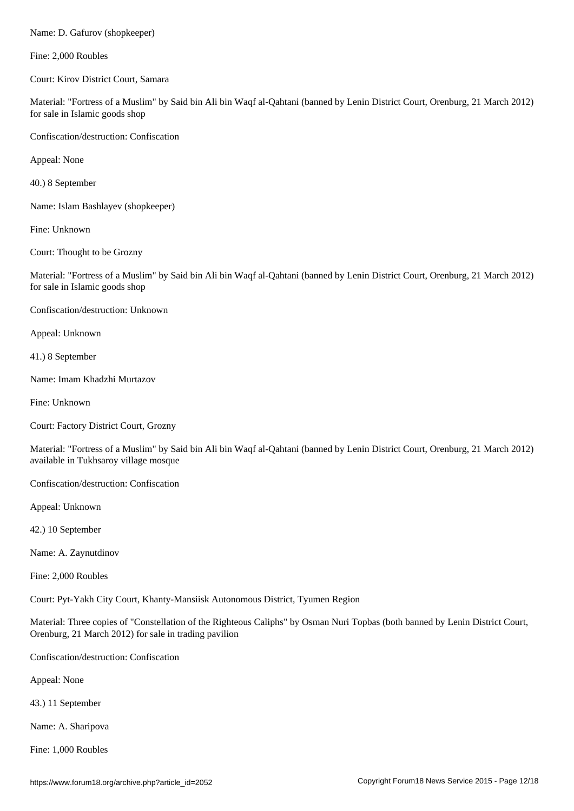Fine: 2,000 Roubles

Court: Kirov District Court, Samara

Material: "Fortress of a Muslim" by Said bin Ali bin Waqf al-Qahtani (banned by Lenin District Court, Orenburg, 21 March 2012) for sale in Islamic goods shop

Confiscation/destruction: Confiscation

Appeal: None

40.) 8 September

Name: Islam Bashlayev (shopkeeper)

Fine: Unknown

Court: Thought to be Grozny

Material: "Fortress of a Muslim" by Said bin Ali bin Waqf al-Qahtani (banned by Lenin District Court, Orenburg, 21 March 2012) for sale in Islamic goods shop

Confiscation/destruction: Unknown

Appeal: Unknown

41.) 8 September

Name: Imam Khadzhi Murtazov

Fine: Unknown

Court: Factory District Court, Grozny

Material: "Fortress of a Muslim" by Said bin Ali bin Waqf al-Qahtani (banned by Lenin District Court, Orenburg, 21 March 2012) available in Tukhsaroy village mosque

Confiscation/destruction: Confiscation

Appeal: Unknown

42.) 10 September

Name: A. Zaynutdinov

Fine: 2,000 Roubles

Court: Pyt-Yakh City Court, Khanty-Mansiisk Autonomous District, Tyumen Region

Material: Three copies of "Constellation of the Righteous Caliphs" by Osman Nuri Topbas (both banned by Lenin District Court, Orenburg, 21 March 2012) for sale in trading pavilion

Confiscation/destruction: Confiscation

Appeal: None

43.) 11 September

Name: A. Sharipova

Fine: 1,000 Roubles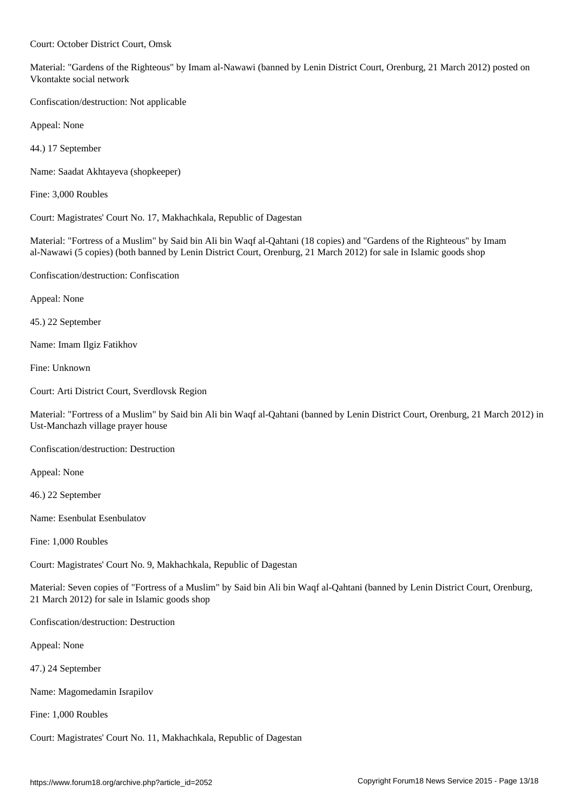Material: "Gardens of the Righteous" by Imam al-Nawawi (banned by Lenin District Court, Orenburg, 21 March 2012) posted on Vkontakte social network

Confiscation/destruction: Not applicable

Court: October District Court, Omsk

Appeal: None

44.) 17 September

Name: Saadat Akhtayeva (shopkeeper)

Fine: 3,000 Roubles

Court: Magistrates' Court No. 17, Makhachkala, Republic of Dagestan

Material: "Fortress of a Muslim" by Said bin Ali bin Waqf al-Qahtani (18 copies) and "Gardens of the Righteous" by Imam al-Nawawi (5 copies) (both banned by Lenin District Court, Orenburg, 21 March 2012) for sale in Islamic goods shop

Confiscation/destruction: Confiscation

Appeal: None

45.) 22 September

Name: Imam Ilgiz Fatikhov

Fine: Unknown

Court: Arti District Court, Sverdlovsk Region

Material: "Fortress of a Muslim" by Said bin Ali bin Waqf al-Qahtani (banned by Lenin District Court, Orenburg, 21 March 2012) in Ust-Manchazh village prayer house

Confiscation/destruction: Destruction

Appeal: None

46.) 22 September

Name: Esenbulat Esenbulatov

Fine: 1,000 Roubles

Court: Magistrates' Court No. 9, Makhachkala, Republic of Dagestan

Material: Seven copies of "Fortress of a Muslim" by Said bin Ali bin Waqf al-Qahtani (banned by Lenin District Court, Orenburg, 21 March 2012) for sale in Islamic goods shop

Confiscation/destruction: Destruction

Appeal: None

47.) 24 September

Name: Magomedamin Israpilov

Fine: 1,000 Roubles

Court: Magistrates' Court No. 11, Makhachkala, Republic of Dagestan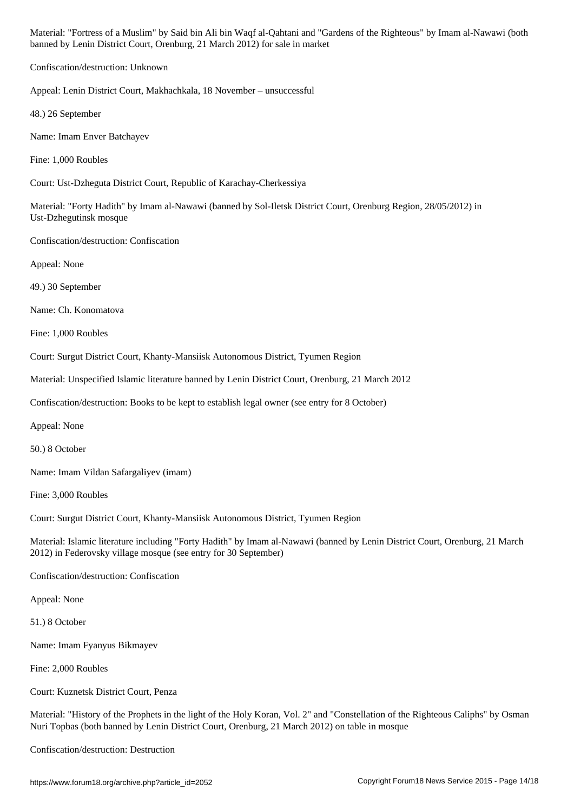| Confiscation/destruction: Unknown                                                                                                                                                              |
|------------------------------------------------------------------------------------------------------------------------------------------------------------------------------------------------|
| Appeal: Lenin District Court, Makhachkala, 18 November - unsuccessful                                                                                                                          |
| 48.) 26 September                                                                                                                                                                              |
| Name: Imam Enver Batchayev                                                                                                                                                                     |
| Fine: 1,000 Roubles                                                                                                                                                                            |
| Court: Ust-Dzheguta District Court, Republic of Karachay-Cherkessiya                                                                                                                           |
| Material: "Forty Hadith" by Imam al-Nawawi (banned by Sol-Iletsk District Court, Orenburg Region, 28/05/2012) in<br>Ust-Dzhegutinsk mosque                                                     |
| Confiscation/destruction: Confiscation                                                                                                                                                         |
| Appeal: None                                                                                                                                                                                   |
| 49.) 30 September                                                                                                                                                                              |
| Name: Ch. Konomatova                                                                                                                                                                           |
| Fine: 1,000 Roubles                                                                                                                                                                            |
| Court: Surgut District Court, Khanty-Mansiisk Autonomous District, Tyumen Region                                                                                                               |
| Material: Unspecified Islamic literature banned by Lenin District Court, Orenburg, 21 March 2012                                                                                               |
| Confiscation/destruction: Books to be kept to establish legal owner (see entry for 8 October)                                                                                                  |
| Appeal: None                                                                                                                                                                                   |
| 50.) 8 October                                                                                                                                                                                 |
| Name: Imam Vildan Safargaliyev (imam)                                                                                                                                                          |
| Fine: 3,000 Roubles                                                                                                                                                                            |
| Court: Surgut District Court, Khanty-Mansiisk Autonomous District, Tyumen Region                                                                                                               |
| Material: Islamic literature including "Forty Hadith" by Imam al-Nawawi (banned by Lenin District Court, Orenburg, 21 March<br>2012) in Federovsky village mosque (see entry for 30 September) |
| Confiscation/destruction: Confiscation                                                                                                                                                         |
| Appeal: None                                                                                                                                                                                   |
| 51.) 8 October                                                                                                                                                                                 |
| Name: Imam Fyanyus Bikmayev                                                                                                                                                                    |
| Fine: 2,000 Roubles                                                                                                                                                                            |

Court: Kuznetsk District Court, Penza

Material: "History of the Prophets in the light of the Holy Koran, Vol. 2" and "Constellation of the Righteous Caliphs" by Osman Nuri Topbas (both banned by Lenin District Court, Orenburg, 21 March 2012) on table in mosque

Confiscation/destruction: Destruction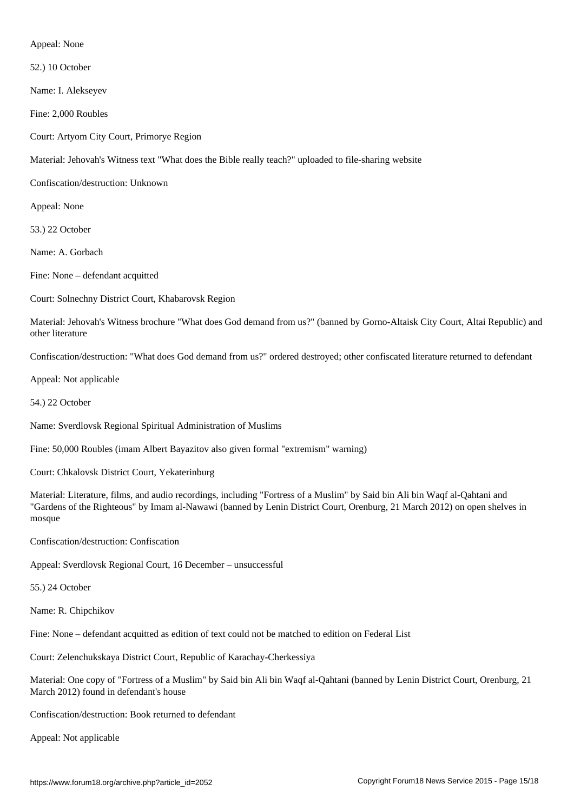Appeal: None

52.) 10 October

Name: I. Alekseyev

Fine: 2,000 Roubles

Court: Artyom City Court, Primorye Region

Material: Jehovah's Witness text "What does the Bible really teach?" uploaded to file-sharing website

Confiscation/destruction: Unknown

Appeal: None

53.) 22 October

Name: A. Gorbach

Fine: None – defendant acquitted

Court: Solnechny District Court, Khabarovsk Region

Material: Jehovah's Witness brochure "What does God demand from us?" (banned by Gorno-Altaisk City Court, Altai Republic) and other literature

Confiscation/destruction: "What does God demand from us?" ordered destroyed; other confiscated literature returned to defendant

Appeal: Not applicable

54.) 22 October

Name: Sverdlovsk Regional Spiritual Administration of Muslims

Fine: 50,000 Roubles (imam Albert Bayazitov also given formal "extremism" warning)

Court: Chkalovsk District Court, Yekaterinburg

Material: Literature, films, and audio recordings, including "Fortress of a Muslim" by Said bin Ali bin Waqf al-Qahtani and "Gardens of the Righteous" by Imam al-Nawawi (banned by Lenin District Court, Orenburg, 21 March 2012) on open shelves in mosque

Confiscation/destruction: Confiscation

Appeal: Sverdlovsk Regional Court, 16 December – unsuccessful

55.) 24 October

Name: R. Chipchikov

Fine: None – defendant acquitted as edition of text could not be matched to edition on Federal List

Court: Zelenchukskaya District Court, Republic of Karachay-Cherkessiya

Material: One copy of "Fortress of a Muslim" by Said bin Ali bin Waqf al-Qahtani (banned by Lenin District Court, Orenburg, 21 March 2012) found in defendant's house

Confiscation/destruction: Book returned to defendant

Appeal: Not applicable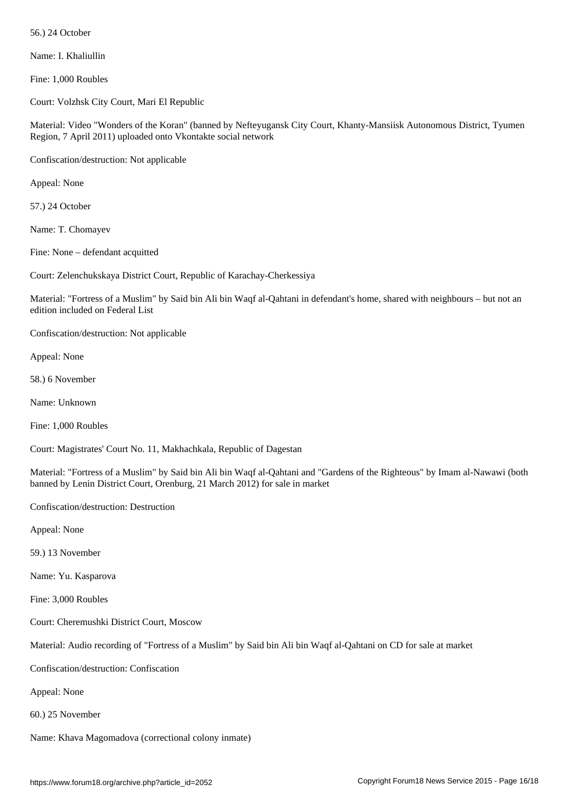Name: I. Khaliullin

Fine: 1,000 Roubles

Court: Volzhsk City Court, Mari El Republic

Material: Video "Wonders of the Koran" (banned by Nefteyugansk City Court, Khanty-Mansiisk Autonomous District, Tyumen Region, 7 April 2011) uploaded onto Vkontakte social network

Confiscation/destruction: Not applicable

Appeal: None

57.) 24 October

Name: T. Chomayev

Fine: None – defendant acquitted

Court: Zelenchukskaya District Court, Republic of Karachay-Cherkessiya

Material: "Fortress of a Muslim" by Said bin Ali bin Waqf al-Qahtani in defendant's home, shared with neighbours – but not an edition included on Federal List

Confiscation/destruction: Not applicable

Appeal: None

58.) 6 November

Name: Unknown

Fine: 1,000 Roubles

Court: Magistrates' Court No. 11, Makhachkala, Republic of Dagestan

Material: "Fortress of a Muslim" by Said bin Ali bin Waqf al-Qahtani and "Gardens of the Righteous" by Imam al-Nawawi (both banned by Lenin District Court, Orenburg, 21 March 2012) for sale in market

Confiscation/destruction: Destruction

Appeal: None

59.) 13 November

Name: Yu. Kasparova

Fine: 3,000 Roubles

Court: Cheremushki District Court, Moscow

Material: Audio recording of "Fortress of a Muslim" by Said bin Ali bin Waqf al-Qahtani on CD for sale at market

Confiscation/destruction: Confiscation

Appeal: None

60.) 25 November

Name: Khava Magomadova (correctional colony inmate)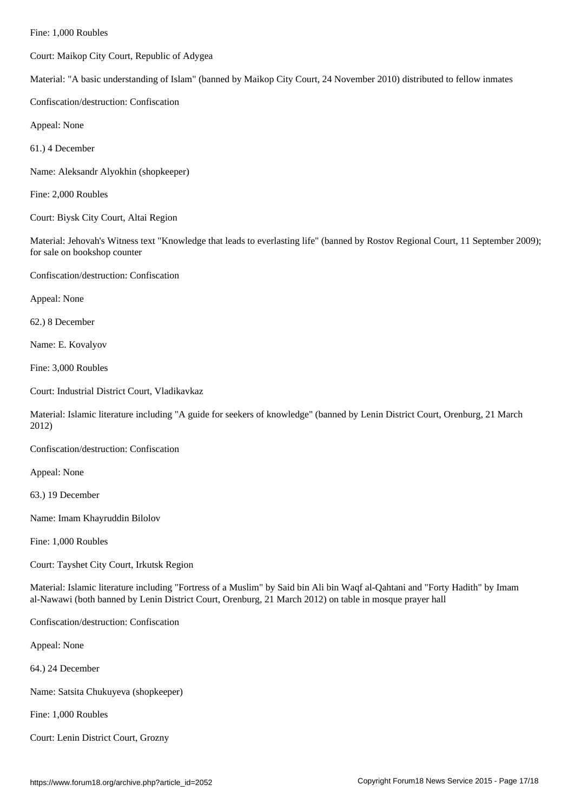Court: Maikop City Court, Republic of Adygea

Material: "A basic understanding of Islam" (banned by Maikop City Court, 24 November 2010) distributed to fellow inmates

Confiscation/destruction: Confiscation

Appeal: None

61.) 4 December

Name: Aleksandr Alyokhin (shopkeeper)

Fine: 2,000 Roubles

Court: Biysk City Court, Altai Region

Material: Jehovah's Witness text "Knowledge that leads to everlasting life" (banned by Rostov Regional Court, 11 September 2009); for sale on bookshop counter

Confiscation/destruction: Confiscation

Appeal: None

62.) 8 December

Name: E. Kovalyov

Fine: 3,000 Roubles

Court: Industrial District Court, Vladikavkaz

Material: Islamic literature including "A guide for seekers of knowledge" (banned by Lenin District Court, Orenburg, 21 March 2012)

Confiscation/destruction: Confiscation

Appeal: None

63.) 19 December

Name: Imam Khayruddin Bilolov

Fine: 1,000 Roubles

Court: Tayshet City Court, Irkutsk Region

Material: Islamic literature including "Fortress of a Muslim" by Said bin Ali bin Waqf al-Qahtani and "Forty Hadith" by Imam al-Nawawi (both banned by Lenin District Court, Orenburg, 21 March 2012) on table in mosque prayer hall

Confiscation/destruction: Confiscation

Appeal: None

64.) 24 December

Name: Satsita Chukuyeva (shopkeeper)

Fine: 1,000 Roubles

Court: Lenin District Court, Grozny